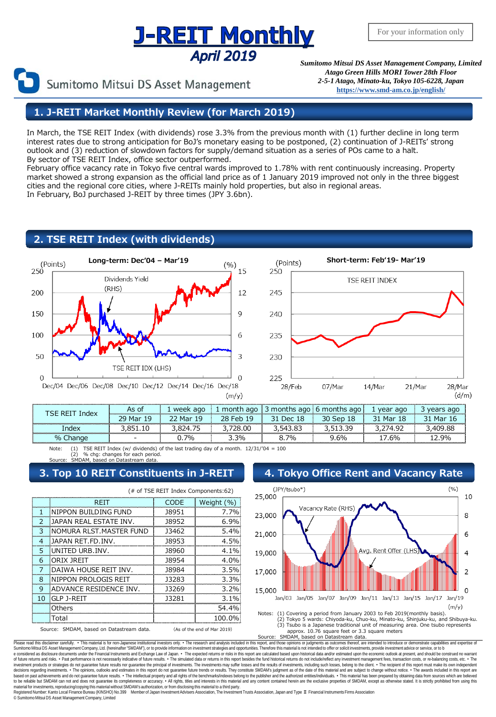# <u>J-REIT Monthly</u> April 2019

Sumitomo Mitsui DS Asset Management

*Sumitomo Mitsui DS Asset Management Company, Limited Atago Green Hills MORI Tower 28th Floor 2-5-1 Atago, Minato-ku, Tokyo 105-6228, Japan* **[https://www.smd-am.co.jp/english/](http://www.smam-jp.com/english/)**

# **1. J-REIT Market Monthly Review (for March 2019)**

In March, the TSE REIT Index (with dividends) rose 3.3% from the previous month with (1) further decline in long term interest rates due to strong anticipation for BoJ's monetary easing to be postponed, (2) continuation of J-REITs' strong outlook and (3) reduction of slowdown factors for supply/demand situation as a series of POs came to a halt. By sector of TSE REIT Index, office sector outperformed.

February office vacancy rate in Tokyo five central wards improved to 1.78% with rent continuously increasing. Property market showed a strong expansion as the official land price as of 1 January 2019 improved not only in the three biggest cities and the regional core cities, where J-REITs mainly hold properties, but also in regional areas. In February, BoJ purchased J-REIT by three times (JPY 3.6bn).

## **2. TSE REIT Index (with dividends)**





| TSF RFIT Index | As of     | week ago  |           | 1 month ago 3 months ago 6 months ago |           | 1 year ago | 3 years ago |
|----------------|-----------|-----------|-----------|---------------------------------------|-----------|------------|-------------|
|                | 29 Mar 19 | 22 Mar 19 | 28 Feb 19 | 31 Dec 18                             | 30 Sep 18 | 31 Mar 18  | 31 Mar 16   |
| Index          | 3.851.10  | 3.824.75  | 3.728.00  | 3,543.83                              | 3 513 39  | 3 274 92   | 3,409.88    |
| % Change       |           | 0.7%      | 3%        | 8.7%                                  | 9.6%      | 17.6%      | 12.9%       |

Note: (1) TSE REIT Index (w/ dividends) of the last trading day of a month.  $12/31''04 = 100$ <br>(2) % chg: changes for each period. (2) % chg: changes for each period. Source: SMDAM, based on Datastream data.

| (# of TSE REIT Index Components:62)                                     |                         |              |            |  |  |
|-------------------------------------------------------------------------|-------------------------|--------------|------------|--|--|
|                                                                         | REIT                    | CODE         | Weight (%) |  |  |
|                                                                         | NIPPON BUILDING FUND    | 18951        | 7.7%       |  |  |
| っ                                                                       | IJAPAN REAL ESTATE INV. | 18952        | 6.9%       |  |  |
| 3                                                                       | NOMURA RLST.MASTER FUND | 13462        | 5.4%       |  |  |
| $\overline{4}$                                                          | IJAPAN RET.FD.INV.      | 18953        | 4.5%       |  |  |
| 5                                                                       | IUNITED URB.INV.        | <b>J8960</b> | $4.1\%$    |  |  |
| 6                                                                       | ORIX JREIT              | 18954        | $4.0\%$    |  |  |
|                                                                         | DAIWA HOUSE REIT INV.   | 18984        | 3.5%       |  |  |
| 8                                                                       | INIPPON PROLOGIS REIT   | 13283        | 3.3%       |  |  |
| q                                                                       | ADVANCE RESIDENCE INV.  | 13269        | 3.2%       |  |  |
| 10                                                                      | GLP J-REIT              | 13281        | 3.1%       |  |  |
|                                                                         | Others                  |              | 54.4%      |  |  |
|                                                                         | Total                   |              | 100.0%     |  |  |
| Source: SMDAM, based on Datastream data.<br>(As of the end of Mar 2019) |                         |              |            |  |  |

### **3. Top 10 REIT Constituents in J-REIT 4. Tokyo Office Rent and Vacancy Rate**



Approx. 10.76 square feet or 3.3 square meters<br>Source: SMDAM, based on Datastream data. SMDAM, based on Datastream data.

Please read this disclaimer carefully. • This material is for non-Japanese institutional investors only. • The research and analysis included in this report, and those opinions or judgments as outcomes thereof, are intende e considered as disclosure documents under the Financial Instruments and Exchange Law of Japan. • The expected returns or risks in this report are calculated based upon historical data and/or estimated upon the economic ou decisions regarding investments. • The opinions, outlooks and estimates in this report do not guarantee future trends or results. They constitute SMDAM's judgment as of the date of this material and are subject to change w material for investments, reproducing/copying this material without SMDAM's authorization, or from disclosing this material to a third party.<br>Registered Number: Kanto Local Finance Bureau (KINSHO) No.399 Member of Japan In

© SumitomoMitsui DS Asset Management Company, Limited